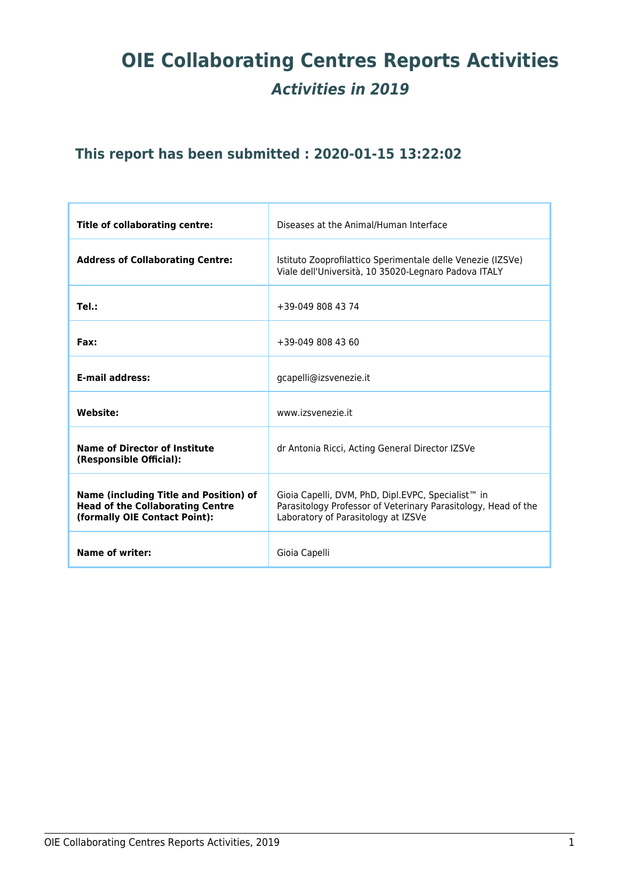# **OIE Collaborating Centres Reports Activities** *Activities in 2019*

# **This report has been submitted : 2020-01-15 13:22:02**

| <b>Title of collaborating centre:</b>                                                                                     | Diseases at the Animal/Human Interface                                                                                                                      |
|---------------------------------------------------------------------------------------------------------------------------|-------------------------------------------------------------------------------------------------------------------------------------------------------------|
| <b>Address of Collaborating Centre:</b>                                                                                   | Istituto Zooprofilattico Sperimentale delle Venezie (IZSVe)<br>Viale dell'Università, 10 35020-Legnaro Padova ITALY                                         |
| Tel.:                                                                                                                     | +39-049 808 43 74                                                                                                                                           |
| Fax:                                                                                                                      | +39-049 808 43 60                                                                                                                                           |
| <b>E-mail address:</b>                                                                                                    | gcapelli@izsvenezie.it                                                                                                                                      |
| <b>Website:</b>                                                                                                           | www.izsvenezie.it                                                                                                                                           |
| Name of Director of Institute<br>(Responsible Official):                                                                  | dr Antonia Ricci, Acting General Director IZSVe                                                                                                             |
| <b>Name (including Title and Position) of</b><br><b>Head of the Collaborating Centre</b><br>(formally OIE Contact Point): | Gioia Capelli, DVM, PhD, Dipl.EVPC, Specialist™ in<br>Parasitology Professor of Veterinary Parasitology, Head of the<br>Laboratory of Parasitology at IZSVe |
| Name of writer:                                                                                                           | Gioia Capelli                                                                                                                                               |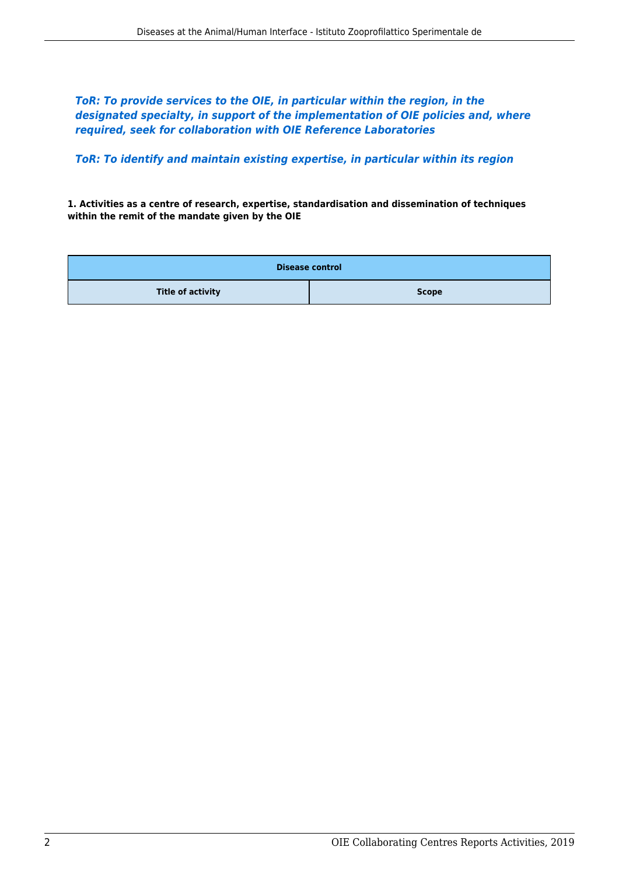*ToR: To provide services to the OIE, in particular within the region, in the designated specialty, in support of the implementation of OIE policies and, where required, seek for collaboration with OIE Reference Laboratories*

*ToR: To identify and maintain existing expertise, in particular within its region*

**1. Activities as a centre of research, expertise, standardisation and dissemination of techniques within the remit of the mandate given by the OIE**

| <b>Disease control</b>   |              |  |
|--------------------------|--------------|--|
| <b>Title of activity</b> | <b>Scope</b> |  |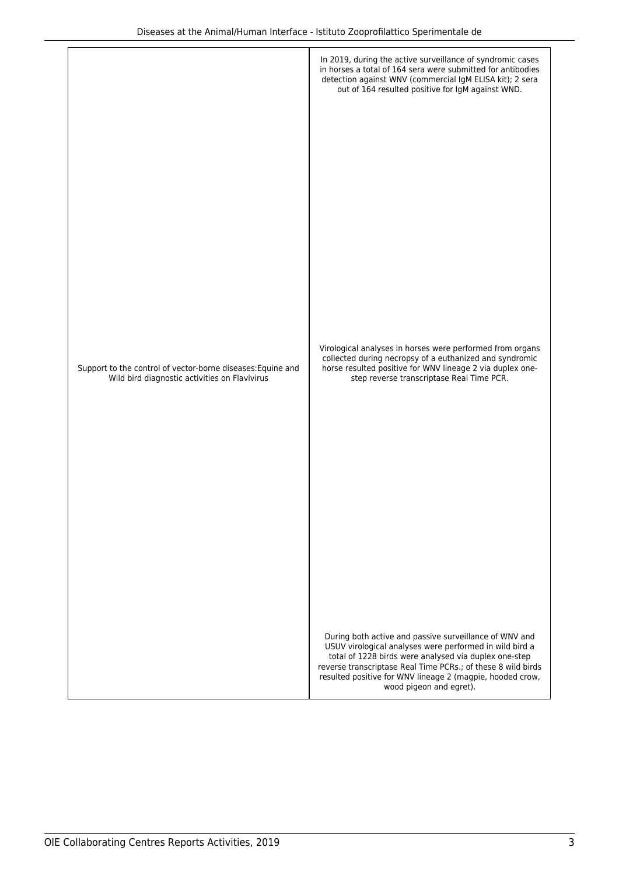|                                                                                                              | In 2019, during the active surveillance of syndromic cases<br>in horses a total of 164 sera were submitted for antibodies<br>detection against WNV (commercial IgM ELISA kit); 2 sera<br>out of 164 resulted positive for IgM against WND.                                                                                         |
|--------------------------------------------------------------------------------------------------------------|------------------------------------------------------------------------------------------------------------------------------------------------------------------------------------------------------------------------------------------------------------------------------------------------------------------------------------|
|                                                                                                              |                                                                                                                                                                                                                                                                                                                                    |
|                                                                                                              |                                                                                                                                                                                                                                                                                                                                    |
|                                                                                                              |                                                                                                                                                                                                                                                                                                                                    |
|                                                                                                              | Virological analyses in horses were performed from organs                                                                                                                                                                                                                                                                          |
| Support to the control of vector-borne diseases: Equine and<br>Wild bird diagnostic activities on Flavivirus | collected during necropsy of a euthanized and syndromic<br>horse resulted positive for WNV lineage 2 via duplex one-<br>step reverse transcriptase Real Time PCR.                                                                                                                                                                  |
|                                                                                                              |                                                                                                                                                                                                                                                                                                                                    |
|                                                                                                              |                                                                                                                                                                                                                                                                                                                                    |
|                                                                                                              |                                                                                                                                                                                                                                                                                                                                    |
|                                                                                                              | During both active and passive surveillance of WNV and<br>USUV virological analyses were performed in wild bird a<br>total of 1228 birds were analysed via duplex one-step<br>reverse transcriptase Real Time PCRs.; of these 8 wild birds<br>resulted positive for WNV lineage 2 (magpie, hooded crow,<br>wood pigeon and egret). |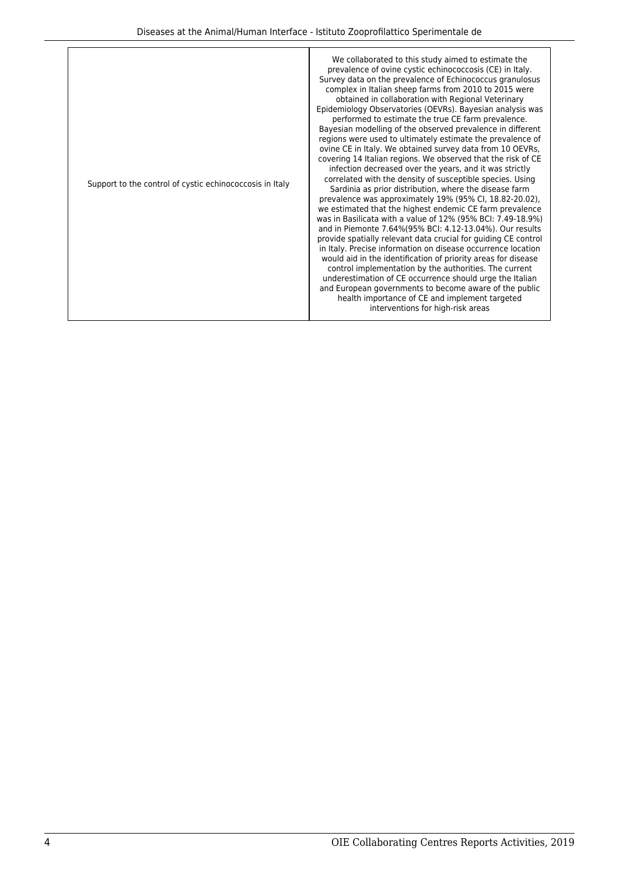| Support to the control of cystic echinococcosis in Italy | We collaborated to this study aimed to estimate the<br>prevalence of ovine cystic echinococcosis (CE) in Italy.<br>Survey data on the prevalence of Echinococcus granulosus<br>complex in Italian sheep farms from 2010 to 2015 were<br>obtained in collaboration with Regional Veterinary<br>Epidemiology Observatories (OEVRs). Bayesian analysis was<br>performed to estimate the true CE farm prevalence.<br>Bayesian modelling of the observed prevalence in different<br>regions were used to ultimately estimate the prevalence of<br>ovine CE in Italy. We obtained survey data from 10 OEVRs,<br>covering 14 Italian regions. We observed that the risk of CE<br>infection decreased over the years, and it was strictly<br>correlated with the density of susceptible species. Using<br>Sardinia as prior distribution, where the disease farm<br>prevalence was approximately 19% (95% CI, 18.82-20.02),<br>we estimated that the highest endemic CE farm prevalence<br>was in Basilicata with a value of 12% (95% BCI: 7.49-18.9%)<br>and in Piemonte 7.64%(95% BCI: 4.12-13.04%). Our results<br>provide spatially relevant data crucial for quiding CE control<br>in Italy. Precise information on disease occurrence location<br>would aid in the identification of priority areas for disease<br>control implementation by the authorities. The current<br>underestimation of CE occurrence should urge the Italian<br>and European governments to become aware of the public<br>health importance of CE and implement targeted<br>interventions for high-risk areas |
|----------------------------------------------------------|--------------------------------------------------------------------------------------------------------------------------------------------------------------------------------------------------------------------------------------------------------------------------------------------------------------------------------------------------------------------------------------------------------------------------------------------------------------------------------------------------------------------------------------------------------------------------------------------------------------------------------------------------------------------------------------------------------------------------------------------------------------------------------------------------------------------------------------------------------------------------------------------------------------------------------------------------------------------------------------------------------------------------------------------------------------------------------------------------------------------------------------------------------------------------------------------------------------------------------------------------------------------------------------------------------------------------------------------------------------------------------------------------------------------------------------------------------------------------------------------------------------------------------------------------------------------------------------|
|----------------------------------------------------------|--------------------------------------------------------------------------------------------------------------------------------------------------------------------------------------------------------------------------------------------------------------------------------------------------------------------------------------------------------------------------------------------------------------------------------------------------------------------------------------------------------------------------------------------------------------------------------------------------------------------------------------------------------------------------------------------------------------------------------------------------------------------------------------------------------------------------------------------------------------------------------------------------------------------------------------------------------------------------------------------------------------------------------------------------------------------------------------------------------------------------------------------------------------------------------------------------------------------------------------------------------------------------------------------------------------------------------------------------------------------------------------------------------------------------------------------------------------------------------------------------------------------------------------------------------------------------------------|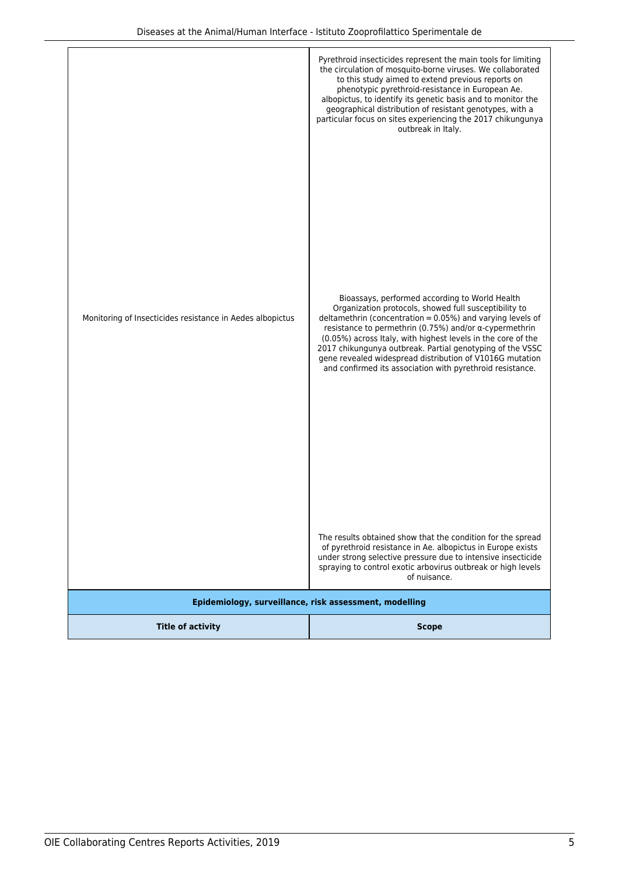| <b>Title of activity</b>                                  | Epidemiology, surveillance, risk assessment, modelling<br><b>Scope</b>                                                                                                                                                                                                                                                                                                                                                                                                                                                                                                                                                                                                                                                                                                 |
|-----------------------------------------------------------|------------------------------------------------------------------------------------------------------------------------------------------------------------------------------------------------------------------------------------------------------------------------------------------------------------------------------------------------------------------------------------------------------------------------------------------------------------------------------------------------------------------------------------------------------------------------------------------------------------------------------------------------------------------------------------------------------------------------------------------------------------------------|
| Monitoring of Insecticides resistance in Aedes albopictus | Bioassays, performed according to World Health<br>Organization protocols, showed full susceptibility to<br>deltamethrin (concentration $= 0.05%$ ) and varying levels of<br>resistance to permethrin (0.75%) and/or α-cypermethrin<br>(0.05%) across Italy, with highest levels in the core of the<br>2017 chikungunya outbreak. Partial genotyping of the VSSC<br>gene revealed widespread distribution of V1016G mutation<br>and confirmed its association with pyrethroid resistance.<br>The results obtained show that the condition for the spread<br>of pyrethroid resistance in Ae. albopictus in Europe exists<br>under strong selective pressure due to intensive insecticide<br>spraying to control exotic arbovirus outbreak or high levels<br>of nuisance. |
|                                                           | Pyrethroid insecticides represent the main tools for limiting<br>the circulation of mosquito-borne viruses. We collaborated<br>to this study aimed to extend previous reports on<br>phenotypic pyrethroid-resistance in European Ae.<br>albopictus, to identify its genetic basis and to monitor the<br>geographical distribution of resistant genotypes, with a<br>particular focus on sites experiencing the 2017 chikungunya<br>outbreak in Italy.                                                                                                                                                                                                                                                                                                                  |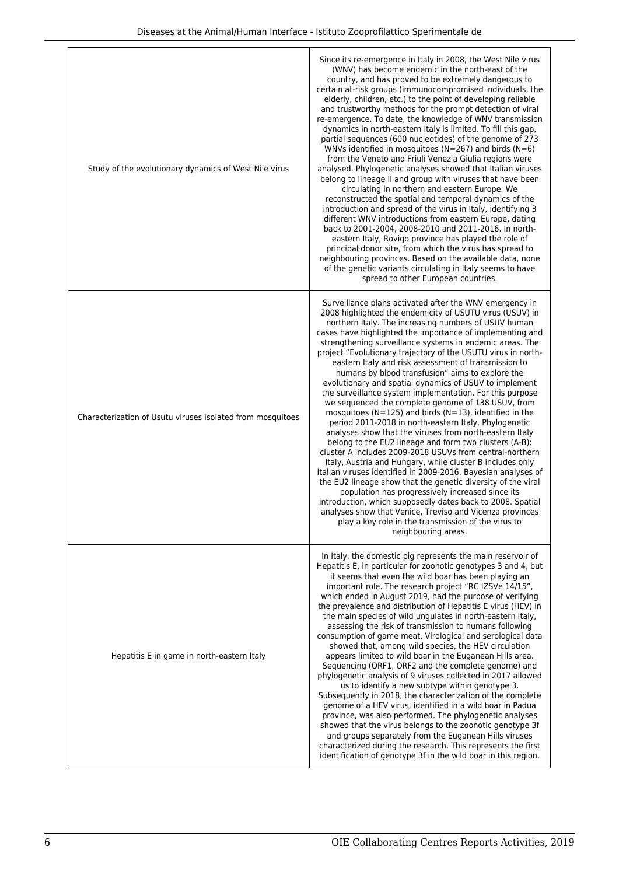| Study of the evolutionary dynamics of West Nile virus      | Since its re-emergence in Italy in 2008, the West Nile virus<br>(WNV) has become endemic in the north-east of the<br>country, and has proved to be extremely dangerous to<br>certain at-risk groups (immunocompromised individuals, the<br>elderly, children, etc.) to the point of developing reliable<br>and trustworthy methods for the prompt detection of viral<br>re-emergence. To date, the knowledge of WNV transmission<br>dynamics in north-eastern Italy is limited. To fill this gap,<br>partial sequences (600 nucleotides) of the genome of 273<br>WNVs identified in mosquitoes (N=267) and birds (N=6)<br>from the Veneto and Friuli Venezia Giulia regions were<br>analysed. Phylogenetic analyses showed that Italian viruses<br>belong to lineage II and group with viruses that have been<br>circulating in northern and eastern Europe. We<br>reconstructed the spatial and temporal dynamics of the<br>introduction and spread of the virus in Italy, identifying 3<br>different WNV introductions from eastern Europe, dating<br>back to 2001-2004, 2008-2010 and 2011-2016. In north-<br>eastern Italy, Rovigo province has played the role of<br>principal donor site, from which the virus has spread to<br>neighbouring provinces. Based on the available data, none<br>of the genetic variants circulating in Italy seems to have<br>spread to other European countries.                                |
|------------------------------------------------------------|-------------------------------------------------------------------------------------------------------------------------------------------------------------------------------------------------------------------------------------------------------------------------------------------------------------------------------------------------------------------------------------------------------------------------------------------------------------------------------------------------------------------------------------------------------------------------------------------------------------------------------------------------------------------------------------------------------------------------------------------------------------------------------------------------------------------------------------------------------------------------------------------------------------------------------------------------------------------------------------------------------------------------------------------------------------------------------------------------------------------------------------------------------------------------------------------------------------------------------------------------------------------------------------------------------------------------------------------------------------------------------------------------------------------------------------|
| Characterization of Usutu viruses isolated from mosquitoes | Surveillance plans activated after the WNV emergency in<br>2008 highlighted the endemicity of USUTU virus (USUV) in<br>northern Italy. The increasing numbers of USUV human<br>cases have highlighted the importance of implementing and<br>strengthening surveillance systems in endemic areas. The<br>project "Evolutionary trajectory of the USUTU virus in north-<br>eastern Italy and risk assessment of transmission to<br>humans by blood transfusion" aims to explore the<br>evolutionary and spatial dynamics of USUV to implement<br>the surveillance system implementation. For this purpose<br>we sequenced the complete genome of 138 USUV, from<br>mosquitoes ( $N=125$ ) and birds ( $N=13$ ), identified in the<br>period 2011-2018 in north-eastern Italy. Phylogenetic<br>analyses show that the viruses from north-eastern Italy<br>belong to the EU2 lineage and form two clusters (A-B):<br>cluster A includes 2009-2018 USUVs from central-northern<br>Italy, Austria and Hungary, while cluster B includes only<br>Italian viruses identified in 2009-2016. Bayesian analyses of<br>the EU2 lineage show that the genetic diversity of the viral<br>population has progressively increased since its<br>introduction, which supposedly dates back to 2008. Spatial<br>analyses show that Venice, Treviso and Vicenza provinces<br>play a key role in the transmission of the virus to<br>neighbouring areas. |
| Hepatitis E in game in north-eastern Italy                 | In Italy, the domestic pig represents the main reservoir of<br>Hepatitis E, in particular for zoonotic genotypes 3 and 4, but<br>it seems that even the wild boar has been playing an<br>important role. The research project "RC IZSVe 14/15",<br>which ended in August 2019, had the purpose of verifying<br>the prevalence and distribution of Hepatitis E virus (HEV) in<br>the main species of wild ungulates in north-eastern Italy,<br>assessing the risk of transmission to humans following<br>consumption of game meat. Virological and serological data<br>showed that, among wild species, the HEV circulation<br>appears limited to wild boar in the Euganean Hills area.<br>Sequencing (ORF1, ORF2 and the complete genome) and<br>phylogenetic analysis of 9 viruses collected in 2017 allowed<br>us to identify a new subtype within genotype 3.<br>Subsequently in 2018, the characterization of the complete<br>genome of a HEV virus, identified in a wild boar in Padua<br>province, was also performed. The phylogenetic analyses<br>showed that the virus belongs to the zoonotic genotype 3f<br>and groups separately from the Euganean Hills viruses<br>characterized during the research. This represents the first<br>identification of genotype 3f in the wild boar in this region.                                                                                                                      |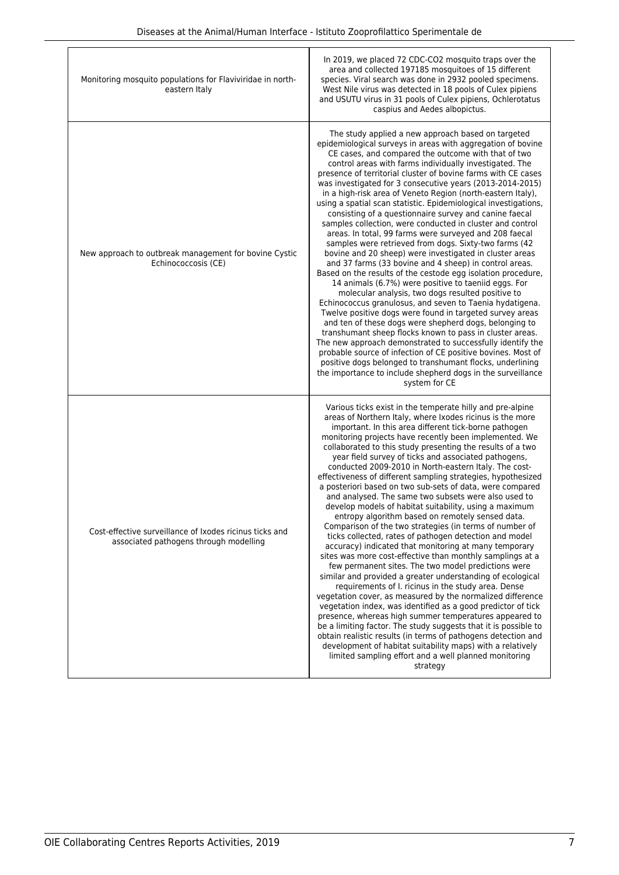| Monitoring mosquito populations for Flaviviridae in north-<br>eastern Italy                       | In 2019, we placed 72 CDC-CO2 mosquito traps over the<br>area and collected 197185 mosquitoes of 15 different<br>species. Viral search was done in 2932 pooled specimens.<br>West Nile virus was detected in 18 pools of Culex pipiens<br>and USUTU virus in 31 pools of Culex pipiens, Ochlerotatus<br>caspius and Aedes albopictus.                                                                                                                                                                                                                                                                                                                                                                                                                                                                                                                                                                                                                                                                                                                                                                                                                                                                                                                                                                                                                                                                                                                                                                                                                                                                             |
|---------------------------------------------------------------------------------------------------|-------------------------------------------------------------------------------------------------------------------------------------------------------------------------------------------------------------------------------------------------------------------------------------------------------------------------------------------------------------------------------------------------------------------------------------------------------------------------------------------------------------------------------------------------------------------------------------------------------------------------------------------------------------------------------------------------------------------------------------------------------------------------------------------------------------------------------------------------------------------------------------------------------------------------------------------------------------------------------------------------------------------------------------------------------------------------------------------------------------------------------------------------------------------------------------------------------------------------------------------------------------------------------------------------------------------------------------------------------------------------------------------------------------------------------------------------------------------------------------------------------------------------------------------------------------------------------------------------------------------|
| New approach to outbreak management for bovine Cystic<br>Echinococcosis (CE)                      | The study applied a new approach based on targeted<br>epidemiological surveys in areas with aggregation of bovine<br>CE cases, and compared the outcome with that of two<br>control areas with farms individually investigated. The<br>presence of territorial cluster of bovine farms with CE cases<br>was investigated for 3 consecutive years (2013-2014-2015)<br>in a high-risk area of Veneto Region (north-eastern Italy),<br>using a spatial scan statistic. Epidemiological investigations,<br>consisting of a questionnaire survey and canine faecal<br>samples collection, were conducted in cluster and control<br>areas. In total, 99 farms were surveyed and 208 faecal<br>samples were retrieved from dogs. Sixty-two farms (42)<br>bovine and 20 sheep) were investigated in cluster areas<br>and 37 farms (33 bovine and 4 sheep) in control areas.<br>Based on the results of the cestode egg isolation procedure,<br>14 animals (6.7%) were positive to taeniid eggs. For<br>molecular analysis, two dogs resulted positive to<br>Echinococcus granulosus, and seven to Taenia hydatigena.<br>Twelve positive dogs were found in targeted survey areas<br>and ten of these dogs were shepherd dogs, belonging to<br>transhumant sheep flocks known to pass in cluster areas.<br>The new approach demonstrated to successfully identify the<br>probable source of infection of CE positive bovines. Most of<br>positive dogs belonged to transhumant flocks, underlining<br>the importance to include shepherd dogs in the surveillance<br>system for CE                                         |
| Cost-effective surveillance of Ixodes ricinus ticks and<br>associated pathogens through modelling | Various ticks exist in the temperate hilly and pre-alpine<br>areas of Northern Italy, where Ixodes ricinus is the more<br>important. In this area different tick-borne pathogen<br>monitoring projects have recently been implemented. We<br>collaborated to this study presenting the results of a two<br>year field survey of ticks and associated pathogens,<br>conducted 2009-2010 in North-eastern Italy. The cost-<br>effectiveness of different sampling strategies, hypothesized<br>a posteriori based on two sub-sets of data, were compared<br>and analysed. The same two subsets were also used to<br>develop models of habitat suitability, using a maximum<br>entropy algorithm based on remotely sensed data.<br>Comparison of the two strategies (in terms of number of<br>ticks collected, rates of pathogen detection and model<br>accuracy) indicated that monitoring at many temporary<br>sites was more cost-effective than monthly samplings at a<br>few permanent sites. The two model predictions were<br>similar and provided a greater understanding of ecological<br>requirements of I. ricinus in the study area. Dense<br>vegetation cover, as measured by the normalized difference<br>vegetation index, was identified as a good predictor of tick<br>presence, whereas high summer temperatures appeared to<br>be a limiting factor. The study suggests that it is possible to<br>obtain realistic results (in terms of pathogens detection and<br>development of habitat suitability maps) with a relatively<br>limited sampling effort and a well planned monitoring<br>strategy |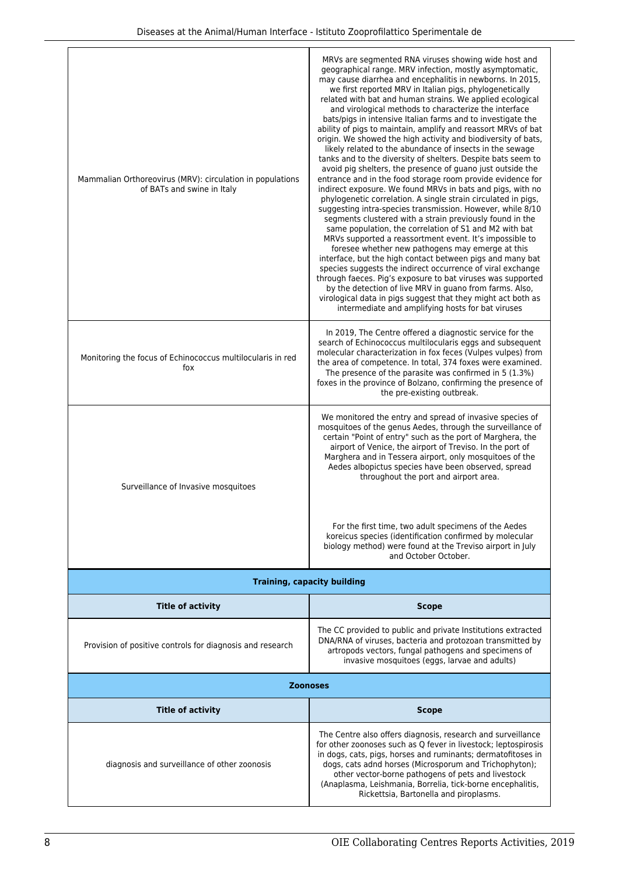| Mammalian Orthoreovirus (MRV): circulation in populations<br>of BATs and swine in Italy | MRVs are segmented RNA viruses showing wide host and<br>geographical range. MRV infection, mostly asymptomatic,<br>may cause diarrhea and encephalitis in newborns. In 2015,<br>we first reported MRV in Italian pigs, phylogenetically<br>related with bat and human strains. We applied ecological<br>and virological methods to characterize the interface<br>bats/pigs in intensive Italian farms and to investigate the<br>ability of pigs to maintain, amplify and reassort MRVs of bat<br>origin. We showed the high activity and biodiversity of bats,<br>likely related to the abundance of insects in the sewage<br>tanks and to the diversity of shelters. Despite bats seem to<br>avoid pig shelters, the presence of guano just outside the<br>entrance and in the food storage room provide evidence for<br>indirect exposure. We found MRVs in bats and pigs, with no<br>phylogenetic correlation. A single strain circulated in pigs,<br>suggesting intra-species transmission. However, while 8/10<br>segments clustered with a strain previously found in the<br>same population, the correlation of S1 and M2 with bat<br>MRVs supported a reassortment event. It's impossible to<br>foresee whether new pathogens may emerge at this<br>interface, but the high contact between pigs and many bat<br>species suggests the indirect occurrence of viral exchange<br>through faeces. Pig's exposure to bat viruses was supported<br>by the detection of live MRV in guano from farms. Also,<br>virological data in pigs suggest that they might act both as<br>intermediate and amplifying hosts for bat viruses |  |
|-----------------------------------------------------------------------------------------|------------------------------------------------------------------------------------------------------------------------------------------------------------------------------------------------------------------------------------------------------------------------------------------------------------------------------------------------------------------------------------------------------------------------------------------------------------------------------------------------------------------------------------------------------------------------------------------------------------------------------------------------------------------------------------------------------------------------------------------------------------------------------------------------------------------------------------------------------------------------------------------------------------------------------------------------------------------------------------------------------------------------------------------------------------------------------------------------------------------------------------------------------------------------------------------------------------------------------------------------------------------------------------------------------------------------------------------------------------------------------------------------------------------------------------------------------------------------------------------------------------------------------------------------------------------------------------------------------------------------------------|--|
| Monitoring the focus of Echinococcus multilocularis in red<br>fox                       | In 2019, The Centre offered a diagnostic service for the<br>search of Echinococcus multilocularis eggs and subsequent<br>molecular characterization in fox feces (Vulpes vulpes) from<br>the area of competence. In total, 374 foxes were examined.<br>The presence of the parasite was confirmed in 5 (1.3%)<br>foxes in the province of Bolzano, confirming the presence of<br>the pre-existing outbreak.                                                                                                                                                                                                                                                                                                                                                                                                                                                                                                                                                                                                                                                                                                                                                                                                                                                                                                                                                                                                                                                                                                                                                                                                                        |  |
| Surveillance of Invasive mosquitoes                                                     | We monitored the entry and spread of invasive species of<br>mosquitoes of the genus Aedes, through the surveillance of<br>certain "Point of entry" such as the port of Marghera, the<br>airport of Venice, the airport of Treviso. In the port of<br>Marghera and in Tessera airport, only mosquitoes of the<br>Aedes albopictus species have been observed, spread<br>throughout the port and airport area.<br>For the first time, two adult specimens of the Aedes<br>koreicus species (identification confirmed by molecular<br>biology method) were found at the Treviso airport in July<br>and October October.                                                                                                                                                                                                                                                                                                                                                                                                                                                                                                                                                                                                                                                                                                                                                                                                                                                                                                                                                                                                               |  |
| <b>Training, capacity building</b>                                                      |                                                                                                                                                                                                                                                                                                                                                                                                                                                                                                                                                                                                                                                                                                                                                                                                                                                                                                                                                                                                                                                                                                                                                                                                                                                                                                                                                                                                                                                                                                                                                                                                                                    |  |
| <b>Title of activity</b>                                                                | <b>Scope</b>                                                                                                                                                                                                                                                                                                                                                                                                                                                                                                                                                                                                                                                                                                                                                                                                                                                                                                                                                                                                                                                                                                                                                                                                                                                                                                                                                                                                                                                                                                                                                                                                                       |  |
| Provision of positive controls for diagnosis and research                               | The CC provided to public and private Institutions extracted<br>DNA/RNA of viruses, bacteria and protozoan transmitted by<br>artropods vectors, fungal pathogens and specimens of<br>invasive mosquitoes (eggs, larvae and adults)                                                                                                                                                                                                                                                                                                                                                                                                                                                                                                                                                                                                                                                                                                                                                                                                                                                                                                                                                                                                                                                                                                                                                                                                                                                                                                                                                                                                 |  |
| <b>Zoonoses</b>                                                                         |                                                                                                                                                                                                                                                                                                                                                                                                                                                                                                                                                                                                                                                                                                                                                                                                                                                                                                                                                                                                                                                                                                                                                                                                                                                                                                                                                                                                                                                                                                                                                                                                                                    |  |
| <b>Title of activity</b>                                                                | <b>Scope</b>                                                                                                                                                                                                                                                                                                                                                                                                                                                                                                                                                                                                                                                                                                                                                                                                                                                                                                                                                                                                                                                                                                                                                                                                                                                                                                                                                                                                                                                                                                                                                                                                                       |  |
| diagnosis and surveillance of other zoonosis                                            | The Centre also offers diagnosis, research and surveillance<br>for other zoonoses such as Q fever in livestock; leptospirosis<br>in dogs, cats, pigs, horses and ruminants; dermatofitoses in<br>dogs, cats adnd horses (Microsporum and Trichophyton);<br>other vector-borne pathogens of pets and livestock<br>(Anaplasma, Leishmania, Borrelia, tick-borne encephalitis,<br>Rickettsia, Bartonella and piroplasms.                                                                                                                                                                                                                                                                                                                                                                                                                                                                                                                                                                                                                                                                                                                                                                                                                                                                                                                                                                                                                                                                                                                                                                                                              |  |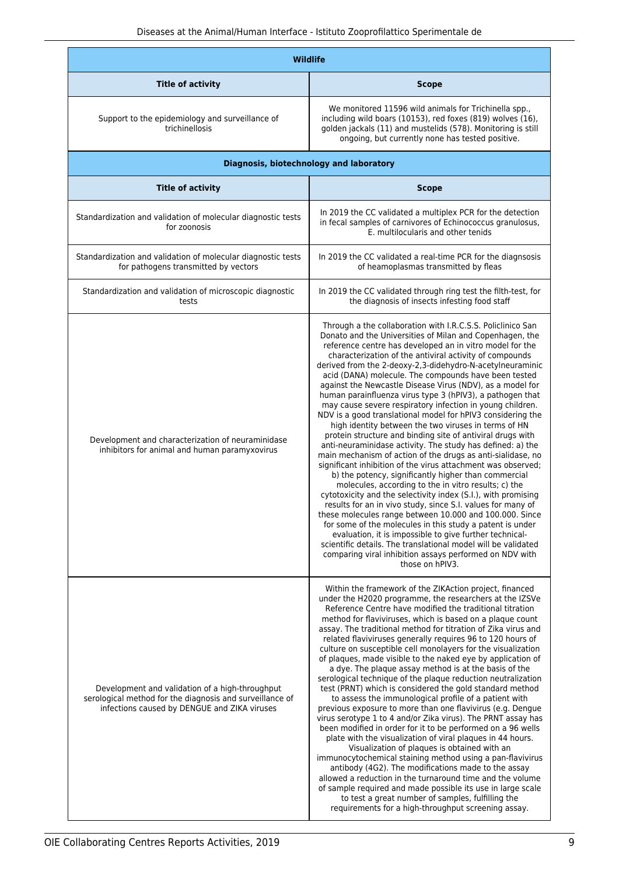| <b>Wildlife</b>                                                                                                                                             |                                                                                                                                                                                                                                                                                                                                                                                                                                                                                                                                                                                                                                                                                                                                                                                                                                                                                                                                                                                                                                                                                                                                                                                                                                                                                                                                                                                                                                                                                                                                |
|-------------------------------------------------------------------------------------------------------------------------------------------------------------|--------------------------------------------------------------------------------------------------------------------------------------------------------------------------------------------------------------------------------------------------------------------------------------------------------------------------------------------------------------------------------------------------------------------------------------------------------------------------------------------------------------------------------------------------------------------------------------------------------------------------------------------------------------------------------------------------------------------------------------------------------------------------------------------------------------------------------------------------------------------------------------------------------------------------------------------------------------------------------------------------------------------------------------------------------------------------------------------------------------------------------------------------------------------------------------------------------------------------------------------------------------------------------------------------------------------------------------------------------------------------------------------------------------------------------------------------------------------------------------------------------------------------------|
| <b>Title of activity</b>                                                                                                                                    | <b>Scope</b>                                                                                                                                                                                                                                                                                                                                                                                                                                                                                                                                                                                                                                                                                                                                                                                                                                                                                                                                                                                                                                                                                                                                                                                                                                                                                                                                                                                                                                                                                                                   |
| Support to the epidemiology and surveillance of<br>trichinellosis                                                                                           | We monitored 11596 wild animals for Trichinella spp.,<br>including wild boars (10153), red foxes (819) wolves (16),<br>golden jackals (11) and mustelids (578). Monitoring is still<br>ongoing, but currently none has tested positive.                                                                                                                                                                                                                                                                                                                                                                                                                                                                                                                                                                                                                                                                                                                                                                                                                                                                                                                                                                                                                                                                                                                                                                                                                                                                                        |
| Diagnosis, biotechnology and laboratory                                                                                                                     |                                                                                                                                                                                                                                                                                                                                                                                                                                                                                                                                                                                                                                                                                                                                                                                                                                                                                                                                                                                                                                                                                                                                                                                                                                                                                                                                                                                                                                                                                                                                |
| <b>Title of activity</b>                                                                                                                                    | <b>Scope</b>                                                                                                                                                                                                                                                                                                                                                                                                                                                                                                                                                                                                                                                                                                                                                                                                                                                                                                                                                                                                                                                                                                                                                                                                                                                                                                                                                                                                                                                                                                                   |
| Standardization and validation of molecular diagnostic tests<br>for zoonosis                                                                                | In 2019 the CC validated a multiplex PCR for the detection<br>in fecal samples of carnivores of Echinococcus granulosus,<br>E. multilocularis and other tenids                                                                                                                                                                                                                                                                                                                                                                                                                                                                                                                                                                                                                                                                                                                                                                                                                                                                                                                                                                                                                                                                                                                                                                                                                                                                                                                                                                 |
| Standardization and validation of molecular diagnostic tests<br>for pathogens transmitted by vectors                                                        | In 2019 the CC validated a real-time PCR for the diagnsosis<br>of heamoplasmas transmitted by fleas                                                                                                                                                                                                                                                                                                                                                                                                                                                                                                                                                                                                                                                                                                                                                                                                                                                                                                                                                                                                                                                                                                                                                                                                                                                                                                                                                                                                                            |
| Standardization and validation of microscopic diagnostic<br>tests                                                                                           | In 2019 the CC validated through ring test the filth-test, for<br>the diagnosis of insects infesting food staff                                                                                                                                                                                                                                                                                                                                                                                                                                                                                                                                                                                                                                                                                                                                                                                                                                                                                                                                                                                                                                                                                                                                                                                                                                                                                                                                                                                                                |
| Development and characterization of neuraminidase<br>inhibitors for animal and human paramyxovirus                                                          | Through a the collaboration with I.R.C.S.S. Policlinico San<br>Donato and the Universities of Milan and Copenhagen, the<br>reference centre has developed an in vitro model for the<br>characterization of the antiviral activity of compounds<br>derived from the 2-deoxy-2,3-didehydro-N-acetylneuraminic<br>acid (DANA) molecule. The compounds have been tested<br>against the Newcastle Disease Virus (NDV), as a model for<br>human parainfluenza virus type 3 (hPIV3), a pathogen that<br>may cause severe respiratory infection in young children.<br>NDV is a good translational model for hPIV3 considering the<br>high identity between the two viruses in terms of HN<br>protein structure and binding site of antiviral drugs with<br>anti-neuraminidase activity. The study has defined: a) the<br>main mechanism of action of the drugs as anti-sialidase, no<br>significant inhibition of the virus attachment was observed;<br>b) the potency, significantly higher than commercial<br>molecules, according to the in vitro results; c) the<br>cytotoxicity and the selectivity index (S.I.), with promising<br>results for an in vivo study, since S.I. values for many of<br>these molecules range between 10.000 and 100.000. Since<br>for some of the molecules in this study a patent is under<br>evaluation, it is impossible to give further technical-<br>scientific details. The translational model will be validated<br>comparing viral inhibition assays performed on NDV with<br>those on hPIV3. |
| Development and validation of a high-throughput<br>serological method for the diagnosis and surveillance of<br>infections caused by DENGUE and ZIKA viruses | Within the framework of the ZIKAction project, financed<br>under the H2020 programme, the researchers at the IZSVe<br>Reference Centre have modified the traditional titration<br>method for flaviviruses, which is based on a plaque count<br>assay. The traditional method for titration of Zika virus and<br>related flaviviruses generally requires 96 to 120 hours of<br>culture on susceptible cell monolayers for the visualization<br>of plaques, made visible to the naked eye by application of<br>a dye. The plaque assay method is at the basis of the<br>serological technique of the plaque reduction neutralization<br>test (PRNT) which is considered the gold standard method<br>to assess the immunological profile of a patient with<br>previous exposure to more than one flavivirus (e.g. Dengue<br>virus serotype 1 to 4 and/or Zika virus). The PRNT assay has<br>been modified in order for it to be performed on a 96 wells<br>plate with the visualization of viral plaques in 44 hours.<br>Visualization of plaques is obtained with an<br>immunocytochemical staining method using a pan-flavivirus<br>antibody (4G2). The modifications made to the assay<br>allowed a reduction in the turnaround time and the volume<br>of sample required and made possible its use in large scale<br>to test a great number of samples, fulfilling the<br>requirements for a high-throughput screening assay.                                                                                                 |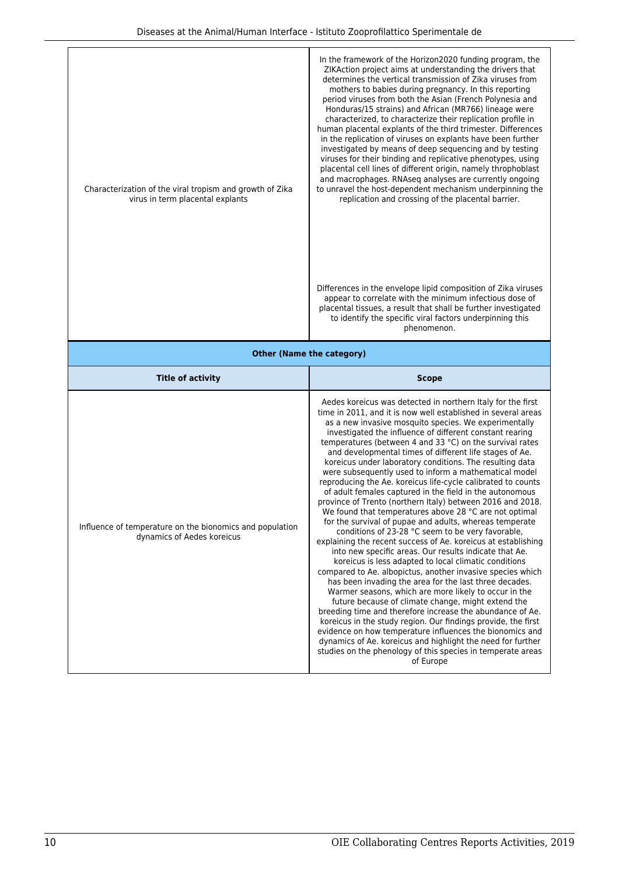|                                                                                              | In the framework of the Horizon2020 funding program, the<br>ZIKAction project aims at understanding the drivers that<br>determines the vertical transmission of Zika viruses from<br>mothers to babies during pregnancy. In this reporting<br>period viruses from both the Asian (French Polynesia and<br>Honduras/15 strains) and African (MR766) lineage were<br>characterized, to characterize their replication profile in<br>human placental explants of the third trimester. Differences<br>in the replication of viruses on explants have been further<br>investigated by means of deep sequencing and by testing<br>viruses for their binding and replicative phenotypes, using |  |
|----------------------------------------------------------------------------------------------|-----------------------------------------------------------------------------------------------------------------------------------------------------------------------------------------------------------------------------------------------------------------------------------------------------------------------------------------------------------------------------------------------------------------------------------------------------------------------------------------------------------------------------------------------------------------------------------------------------------------------------------------------------------------------------------------|--|
| Characterization of the viral tropism and growth of Zika<br>virus in term placental explants | placental cell lines of different origin, namely throphoblast<br>and macrophages. RNAseq analyses are currently ongoing<br>to unravel the host-dependent mechanism underpinning the<br>replication and crossing of the placental barrier.                                                                                                                                                                                                                                                                                                                                                                                                                                               |  |
|                                                                                              | Differences in the envelope lipid composition of Zika viruses<br>appear to correlate with the minimum infectious dose of<br>placental tissues, a result that shall be further investigated<br>to identify the specific viral factors underpinning this<br>phenomenon.                                                                                                                                                                                                                                                                                                                                                                                                                   |  |
| <b>Other (Name the category)</b>                                                             |                                                                                                                                                                                                                                                                                                                                                                                                                                                                                                                                                                                                                                                                                         |  |
|                                                                                              |                                                                                                                                                                                                                                                                                                                                                                                                                                                                                                                                                                                                                                                                                         |  |
| <b>Title of activity</b>                                                                     | <b>Scope</b>                                                                                                                                                                                                                                                                                                                                                                                                                                                                                                                                                                                                                                                                            |  |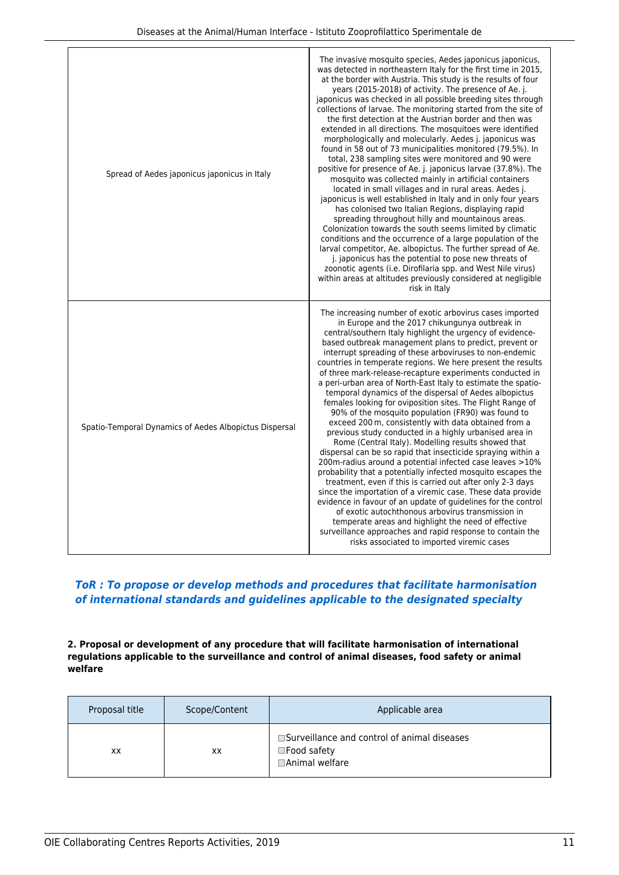| Spread of Aedes japonicus japonicus in Italy           | The invasive mosquito species, Aedes japonicus japonicus,<br>was detected in northeastern Italy for the first time in 2015,<br>at the border with Austria. This study is the results of four<br>years (2015-2018) of activity. The presence of Ae. j.<br>japonicus was checked in all possible breeding sites through<br>collections of larvae. The monitoring started from the site of<br>the first detection at the Austrian border and then was<br>extended in all directions. The mosquitoes were identified<br>morphologically and molecularly. Aedes j. japonicus was<br>found in 58 out of 73 municipalities monitored (79.5%). In<br>total, 238 sampling sites were monitored and 90 were<br>positive for presence of Ae. j. japonicus larvae (37.8%). The<br>mosquito was collected mainly in artificial containers<br>located in small villages and in rural areas. Aedes j.<br>japonicus is well established in Italy and in only four years<br>has colonised two Italian Regions, displaying rapid<br>spreading throughout hilly and mountainous areas.<br>Colonization towards the south seems limited by climatic<br>conditions and the occurrence of a large population of the<br>larval competitor, Ae. albopictus. The further spread of Ae.<br>j. japonicus has the potential to pose new threats of<br>zoonotic agents (i.e. Dirofilaria spp. and West Nile virus)<br>within areas at altitudes previously considered at negligible<br>risk in Italy |
|--------------------------------------------------------|-------------------------------------------------------------------------------------------------------------------------------------------------------------------------------------------------------------------------------------------------------------------------------------------------------------------------------------------------------------------------------------------------------------------------------------------------------------------------------------------------------------------------------------------------------------------------------------------------------------------------------------------------------------------------------------------------------------------------------------------------------------------------------------------------------------------------------------------------------------------------------------------------------------------------------------------------------------------------------------------------------------------------------------------------------------------------------------------------------------------------------------------------------------------------------------------------------------------------------------------------------------------------------------------------------------------------------------------------------------------------------------------------------------------------------------------------------------------------|
| Spatio-Temporal Dynamics of Aedes Albopictus Dispersal | The increasing number of exotic arbovirus cases imported<br>in Europe and the 2017 chikungunya outbreak in<br>central/southern Italy highlight the urgency of evidence-<br>based outbreak management plans to predict, prevent or<br>interrupt spreading of these arboviruses to non-endemic<br>countries in temperate regions. We here present the results<br>of three mark-release-recapture experiments conducted in<br>a peri-urban area of North-East Italy to estimate the spatio-<br>temporal dynamics of the dispersal of Aedes albopictus<br>females looking for oviposition sites. The Flight Range of<br>90% of the mosquito population (FR90) was found to<br>exceed 200 m, consistently with data obtained from a<br>previous study conducted in a highly urbanised area in<br>Rome (Central Italy). Modelling results showed that<br>dispersal can be so rapid that insecticide spraying within a<br>200m-radius around a potential infected case leaves >10%<br>probability that a potentially infected mosquito escapes the<br>treatment, even if this is carried out after only 2-3 days<br>since the importation of a viremic case. These data provide<br>evidence in favour of an update of guidelines for the control<br>of exotic autochthonous arbovirus transmission in<br>temperate areas and highlight the need of effective<br>surveillance approaches and rapid response to contain the<br>risks associated to imported viremic cases        |

# *ToR : To propose or develop methods and procedures that facilitate harmonisation of international standards and guidelines applicable to the designated specialty*

**2. Proposal or development of any procedure that will facilitate harmonisation of international regulations applicable to the surveillance and control of animal diseases, food safety or animal welfare**

| Proposal title | Scope/Content | Applicable area                                                                          |
|----------------|---------------|------------------------------------------------------------------------------------------|
| XX             | XХ            | □Surveillance and control of animal diseases<br>$\square$ Food safety<br>□Animal welfare |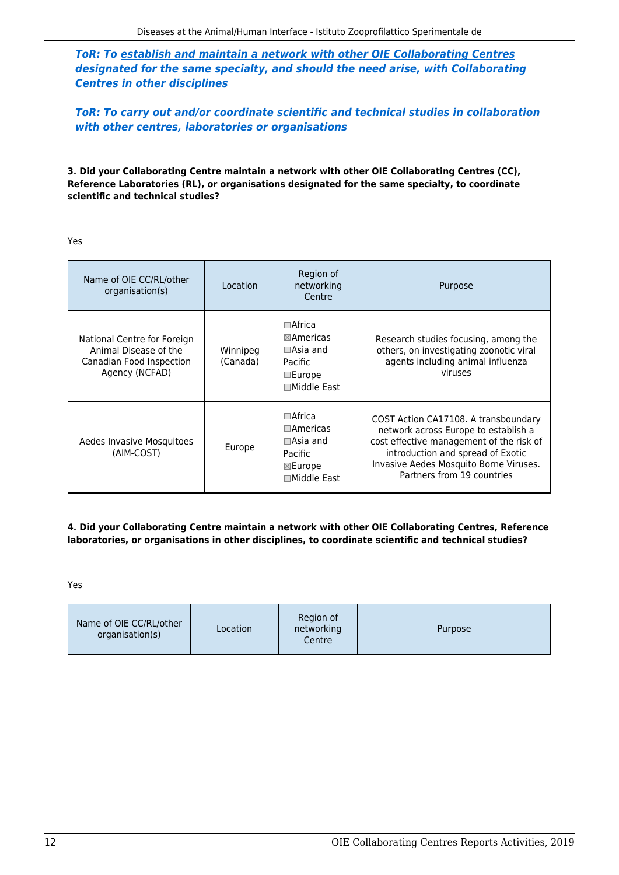*ToR: To establish and maintain a network with other OIE Collaborating Centres designated for the same specialty, and should the need arise, with Collaborating Centres in other disciplines*

*ToR: To carry out and/or coordinate scientific and technical studies in collaboration with other centres, laboratories or organisations*

**3. Did your Collaborating Centre maintain a network with other OIE Collaborating Centres (CC), Reference Laboratories (RL), or organisations designated for the same specialty, to coordinate scientific and technical studies?**

Yes

| Name of OIE CC/RL/other<br>organisation(s)                                                         | Location             | Region of<br>networking<br>Centre                                                                                | Purpose<br>Research studies focusing, among the<br>others, on investigating zoonotic viral<br>agents including animal influenza<br>viruses<br>COST Action CA17108. A transboundary<br>network across Europe to establish a<br>cost effective management of the risk of<br>introduction and spread of Exotic<br>Invasive Aedes Mosquito Borne Viruses.<br>Partners from 19 countries |  |
|----------------------------------------------------------------------------------------------------|----------------------|------------------------------------------------------------------------------------------------------------------|-------------------------------------------------------------------------------------------------------------------------------------------------------------------------------------------------------------------------------------------------------------------------------------------------------------------------------------------------------------------------------------|--|
| National Centre for Foreign<br>Animal Disease of the<br>Canadian Food Inspection<br>Agency (NCFAD) | Winnipeg<br>(Canada) | $\Box$ Africa<br>$\boxtimes$ Americas<br>$\Box$ Asia and<br>Pacific<br>$\square$ Europe<br>$\square$ Middle East |                                                                                                                                                                                                                                                                                                                                                                                     |  |
| Aedes Invasive Mosquitoes<br>(AIM-COST)                                                            | Europe               | $\square$ Africa<br>$\Box$ Americas<br>$\Box$ Asia and<br>Pacific<br>$\boxtimes$ Europe<br>□Middle East          |                                                                                                                                                                                                                                                                                                                                                                                     |  |

#### **4. Did your Collaborating Centre maintain a network with other OIE Collaborating Centres, Reference laboratories, or organisations in other disciplines, to coordinate scientific and technical studies?**

Yes

| Name of OIE CC/RL/other<br>Location<br>organisation(s) | Region of<br>networking<br>Centre | Purpose |
|--------------------------------------------------------|-----------------------------------|---------|
|--------------------------------------------------------|-----------------------------------|---------|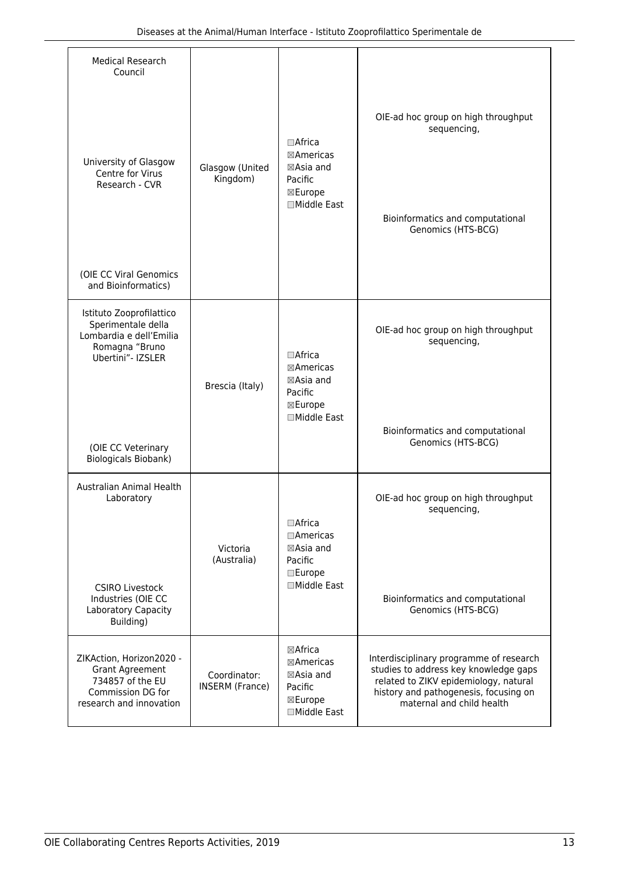| <b>Medical Research</b><br>Council                                                                                     |                                        |                                                                                    |                                                                                                                                                                                                 |  |
|------------------------------------------------------------------------------------------------------------------------|----------------------------------------|------------------------------------------------------------------------------------|-------------------------------------------------------------------------------------------------------------------------------------------------------------------------------------------------|--|
| University of Glasgow<br>Centre for Virus                                                                              | Glasgow (United                        | $\Box$ Africa<br>⊠Americas<br>⊠Asia and                                            | OIE-ad hoc group on high throughput<br>sequencing,                                                                                                                                              |  |
| Research - CVR                                                                                                         | Kingdom)                               | Pacific<br>⊠Europe<br>□Middle East                                                 | Bioinformatics and computational<br>Genomics (HTS-BCG)                                                                                                                                          |  |
| (OIE CC Viral Genomics<br>and Bioinformatics)                                                                          |                                        |                                                                                    |                                                                                                                                                                                                 |  |
| Istituto Zooprofilattico<br>Sperimentale della<br>Lombardia e dell'Emilia<br>Romagna "Bruno<br>Ubertini"- IZSLER       |                                        | $\Box$ Africa<br>⊠Americas<br>⊠Asia and                                            | OIE-ad hoc group on high throughput<br>sequencing,                                                                                                                                              |  |
| (OIE CC Veterinary<br>Biologicals Biobank)                                                                             | Brescia (Italy)                        | Pacific<br>⊠Europe<br>□Middle East                                                 | Bioinformatics and computational<br>Genomics (HTS-BCG)                                                                                                                                          |  |
| Australian Animal Health<br>Laboratory                                                                                 | Victoria<br>(Australia)                | □Africa<br>$\Box$ Americas<br>⊠Asia and<br>Pacific                                 | OIE-ad hoc group on high throughput<br>sequencing,                                                                                                                                              |  |
| <b>CSIRO Livestock</b><br>Industries (OIE CC<br>Laboratory Capacity<br>Building)                                       |                                        | <b>Europe</b><br><b>□Middle East</b>                                               | Bioinformatics and computational<br>Genomics (HTS-BCG)                                                                                                                                          |  |
| ZIKAction, Horizon2020 -<br><b>Grant Agreement</b><br>734857 of the EU<br>Commission DG for<br>research and innovation | Coordinator:<br><b>INSERM</b> (France) | ⊠Africa<br>⊠Americas<br>$\boxtimes$ Asia and<br>Pacific<br>⊠Europe<br>□Middle East | Interdisciplinary programme of research<br>studies to address key knowledge gaps<br>related to ZIKV epidemiology, natural<br>history and pathogenesis, focusing on<br>maternal and child health |  |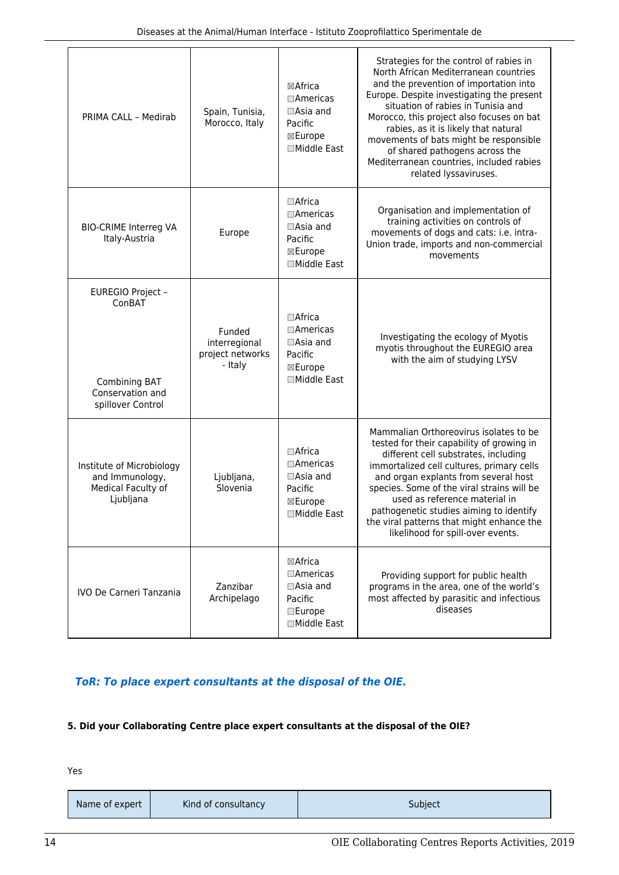| PRIMA CALL - Medirab                                                                  | Spain, Tunisia,<br>Morocco, Italy                      | ⊠Africa<br>$\Box$ Americas<br>$\Box$ Asia and<br>Pacific<br>⊠Europe<br>□Middle East                  | Strategies for the control of rabies in<br>North African Mediterranean countries<br>and the prevention of importation into<br>Europe. Despite investigating the present<br>situation of rabies in Tunisia and<br>Morocco, this project also focuses on bat<br>rabies, as it is likely that natural<br>movements of bats might be responsible<br>of shared pathogens across the<br>Mediterranean countries, included rabies<br>related lyssaviruses. |  |
|---------------------------------------------------------------------------------------|--------------------------------------------------------|------------------------------------------------------------------------------------------------------|-----------------------------------------------------------------------------------------------------------------------------------------------------------------------------------------------------------------------------------------------------------------------------------------------------------------------------------------------------------------------------------------------------------------------------------------------------|--|
| <b>BIO-CRIME Interreg VA</b><br>Italy-Austria                                         | Europe                                                 | $\Box$ Africa<br>$\Box$ Americas<br>$\Box$ Asia and<br>Pacific<br>⊠Europe<br>□Middle East            | Organisation and implementation of<br>training activities on controls of<br>movements of dogs and cats: i.e. intra-<br>Union trade, imports and non-commercial<br>movements                                                                                                                                                                                                                                                                         |  |
| EUREGIO Project -<br>ConBAT<br>Combining BAT<br>Conservation and<br>spillover Control | Funded<br>interregional<br>project networks<br>- Italy | $\Box$ Africa<br>$\Box$ Americas<br>$\Box$ Asia and<br>Pacific<br>⊠Europe<br>□Middle East            | Investigating the ecology of Myotis<br>myotis throughout the EUREGIO area<br>with the aim of studying LYSV                                                                                                                                                                                                                                                                                                                                          |  |
| Institute of Microbiology<br>and Immunology,<br>Medical Faculty of<br>Ljubljana       | Ljubljana,<br>Slovenia                                 | $\Box$ Africa<br>$\Box$ Americas<br>$\Box$ Asia and<br>Pacific<br>⊠Europe<br>□Middle East            | Mammalian Orthoreovirus isolates to be<br>tested for their capability of growing in<br>different cell substrates, including<br>immortalized cell cultures, primary cells<br>and organ explants from several host<br>species. Some of the viral strains will be<br>used as reference material in<br>pathogenetic studies aiming to identify<br>the viral patterns that might enhance the<br>likelihood for spill-over events.                        |  |
| <b>IVO De Carneri Tanzania</b>                                                        | Zanzibar<br>Archipelago                                | $\boxtimes$ Africa<br>$\Box$ Americas<br>$\Box$ Asia and<br>Pacific<br><b>Europe</b><br>□Middle East | Providing support for public health<br>programs in the area, one of the world's<br>most affected by parasitic and infectious<br>diseases                                                                                                                                                                                                                                                                                                            |  |

# *ToR: To place expert consultants at the disposal of the OIE.*

#### **5. Did your Collaborating Centre place expert consultants at the disposal of the OIE?**

| Kind of consultancy<br>Name of expert | Subject |
|---------------------------------------|---------|
|---------------------------------------|---------|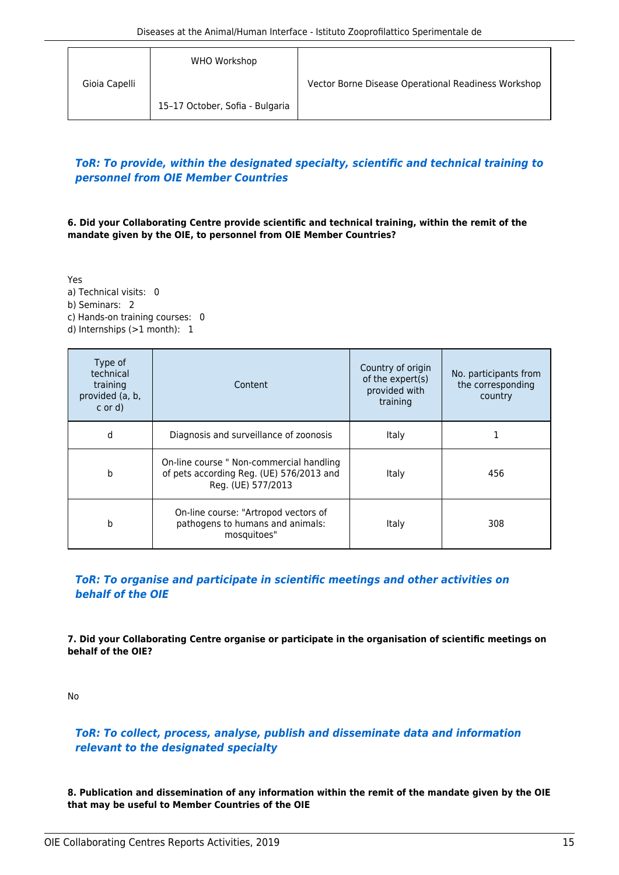|               | WHO Workshop                    |                                                     |
|---------------|---------------------------------|-----------------------------------------------------|
| Gioia Capelli |                                 | Vector Borne Disease Operational Readiness Workshop |
|               | 15-17 October, Sofia - Bulgaria |                                                     |

## *ToR: To provide, within the designated specialty, scientific and technical training to personnel from OIE Member Countries*

**6. Did your Collaborating Centre provide scientific and technical training, within the remit of the mandate given by the OIE, to personnel from OIE Member Countries?**

Yes a) Technical visits: 0 b) Seminars: 2 c) Hands-on training courses: 0 d) Internships (>1 month): 1

| Type of<br>technical<br>training<br>provided (a, b,<br>$\ c \text{ or } d$ | Content                                                                                                    | Country of origin<br>of the expert(s)<br>provided with<br>training | No. participants from<br>the corresponding<br>country |
|----------------------------------------------------------------------------|------------------------------------------------------------------------------------------------------------|--------------------------------------------------------------------|-------------------------------------------------------|
| d                                                                          | Diagnosis and surveillance of zoonosis                                                                     | Italy                                                              |                                                       |
| b                                                                          | On-line course " Non-commercial handling<br>of pets according Reg. (UE) 576/2013 and<br>Reg. (UE) 577/2013 | Italy                                                              | 456                                                   |
| b                                                                          | On-line course: "Artropod vectors of<br>pathogens to humans and animals:<br>mosquitoes"                    | Italy                                                              | 308                                                   |

## *ToR: To organise and participate in scientific meetings and other activities on behalf of the OIE*

**7. Did your Collaborating Centre organise or participate in the organisation of scientific meetings on behalf of the OIE?**

No

# *ToR: To collect, process, analyse, publish and disseminate data and information relevant to the designated specialty*

**8. Publication and dissemination of any information within the remit of the mandate given by the OIE that may be useful to Member Countries of the OIE**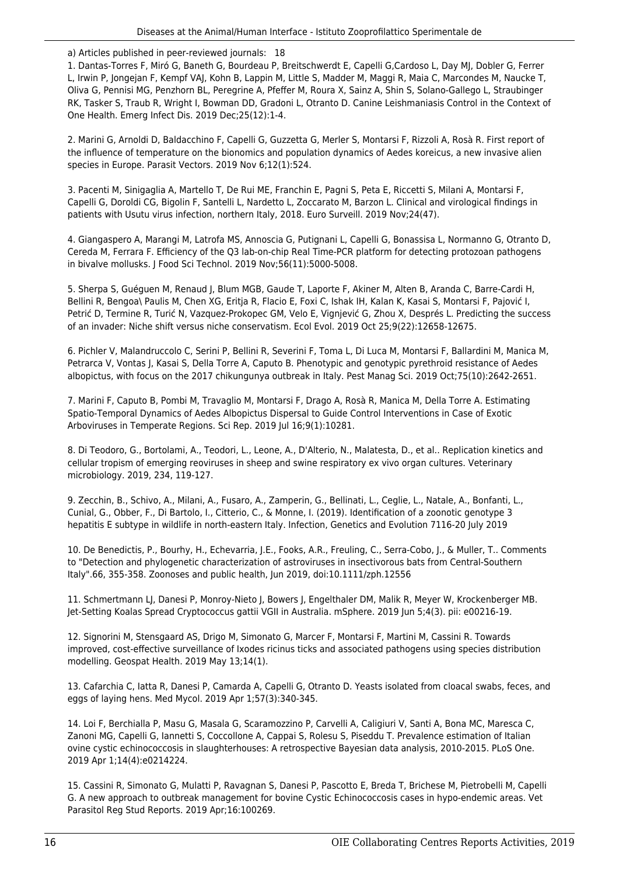a) Articles published in peer-reviewed journals: 18

1. Dantas-Torres F, Miró G, Baneth G, Bourdeau P, Breitschwerdt E, Capelli G,Cardoso L, Day MJ, Dobler G, Ferrer L, Irwin P, Jongejan F, Kempf VAJ, Kohn B, Lappin M, Little S, Madder M, Maggi R, Maia C, Marcondes M, Naucke T, Oliva G, Pennisi MG, Penzhorn BL, Peregrine A, Pfeffer M, Roura X, Sainz A, Shin S, Solano-Gallego L, Straubinger RK, Tasker S, Traub R, Wright I, Bowman DD, Gradoni L, Otranto D. Canine Leishmaniasis Control in the Context of One Health. Emerg Infect Dis. 2019 Dec;25(12):1-4.

2. Marini G, Arnoldi D, Baldacchino F, Capelli G, Guzzetta G, Merler S, Montarsi F, Rizzoli A, Rosà R. First report of the influence of temperature on the bionomics and population dynamics of Aedes koreicus, a new invasive alien species in Europe. Parasit Vectors. 2019 Nov 6;12(1):524.

3. Pacenti M, Sinigaglia A, Martello T, De Rui ME, Franchin E, Pagni S, Peta E, Riccetti S, Milani A, Montarsi F, Capelli G, Doroldi CG, Bigolin F, Santelli L, Nardetto L, Zoccarato M, Barzon L. Clinical and virological findings in patients with Usutu virus infection, northern Italy, 2018. Euro Surveill. 2019 Nov;24(47).

4. Giangaspero A, Marangi M, Latrofa MS, Annoscia G, Putignani L, Capelli G, Bonassisa L, Normanno G, Otranto D, Cereda M, Ferrara F. Efficiency of the Q3 lab-on-chip Real Time-PCR platform for detecting protozoan pathogens in bivalve mollusks. J Food Sci Technol. 2019 Nov;56(11):5000-5008.

5. Sherpa S, Guéguen M, Renaud J, Blum MGB, Gaude T, Laporte F, Akiner M, Alten B, Aranda C, Barre-Cardi H, Bellini R, Bengoa\ Paulis M, Chen XG, Eritja R, Flacio E, Foxi C, Ishak IH, Kalan K, Kasai S, Montarsi F, Pajović I, Petrić D, Termine R, Turić N, Vazquez-Prokopec GM, Velo E, Vignjević G, Zhou X, Després L. Predicting the success of an invader: Niche shift versus niche conservatism. Ecol Evol. 2019 Oct 25;9(22):12658-12675.

6. Pichler V, Malandruccolo C, Serini P, Bellini R, Severini F, Toma L, Di Luca M, Montarsi F, Ballardini M, Manica M, Petrarca V, Vontas J, Kasai S, Della Torre A, Caputo B. Phenotypic and genotypic pyrethroid resistance of Aedes albopictus, with focus on the 2017 chikungunya outbreak in Italy. Pest Manag Sci. 2019 Oct;75(10):2642-2651.

7. Marini F, Caputo B, Pombi M, Travaglio M, Montarsi F, Drago A, Rosà R, Manica M, Della Torre A. Estimating Spatio-Temporal Dynamics of Aedes Albopictus Dispersal to Guide Control Interventions in Case of Exotic Arboviruses in Temperate Regions. Sci Rep. 2019 Jul 16;9(1):10281.

8. Di Teodoro, G., Bortolami, A., Teodori, L., Leone, A., D'Alterio, N., Malatesta, D., et al.. Replication kinetics and cellular tropism of emerging reoviruses in sheep and swine respiratory ex vivo organ cultures. Veterinary microbiology. 2019, 234, 119-127.

9. Zecchin, B., Schivo, A., Milani, A., Fusaro, A., Zamperin, G., Bellinati, L., Ceglie, L., Natale, A., Bonfanti, L., Cunial, G., Obber, F., Di Bartolo, I., Citterio, C., & Monne, I. (2019). Identification of a zoonotic genotype 3 hepatitis E subtype in wildlife in north-eastern Italy. Infection, Genetics and Evolution 7116-20 July 2019

10. De Benedictis, P., Bourhy, H., Echevarria, J.E., Fooks, A.R., Freuling, C., Serra-Cobo, J., & Muller, T.. Comments to "Detection and phylogenetic characterization of astroviruses in insectivorous bats from Central-Southern Italy".66, 355-358. Zoonoses and public health, Jun 2019, doi:10.1111/zph.12556

11. Schmertmann LJ, Danesi P, Monroy-Nieto J, Bowers J, Engelthaler DM, Malik R, Meyer W, Krockenberger MB. Jet-Setting Koalas Spread Cryptococcus gattii VGII in Australia. mSphere. 2019 Jun 5;4(3). pii: e00216-19.

12. Signorini M, Stensgaard AS, Drigo M, Simonato G, Marcer F, Montarsi F, Martini M, Cassini R. Towards improved, cost-effective surveillance of Ixodes ricinus ticks and associated pathogens using species distribution modelling. Geospat Health. 2019 May 13;14(1).

13. Cafarchia C, Iatta R, Danesi P, Camarda A, Capelli G, Otranto D. Yeasts isolated from cloacal swabs, feces, and eggs of laying hens. Med Mycol. 2019 Apr 1;57(3):340-345.

14. Loi F, Berchialla P, Masu G, Masala G, Scaramozzino P, Carvelli A, Caligiuri V, Santi A, Bona MC, Maresca C, Zanoni MG, Capelli G, Iannetti S, Coccollone A, Cappai S, Rolesu S, Piseddu T. Prevalence estimation of Italian ovine cystic echinococcosis in slaughterhouses: A retrospective Bayesian data analysis, 2010-2015. PLoS One. 2019 Apr 1;14(4):e0214224.

15. Cassini R, Simonato G, Mulatti P, Ravagnan S, Danesi P, Pascotto E, Breda T, Brichese M, Pietrobelli M, Capelli G. A new approach to outbreak management for bovine Cystic Echinococcosis cases in hypo-endemic areas. Vet Parasitol Reg Stud Reports. 2019 Apr;16:100269.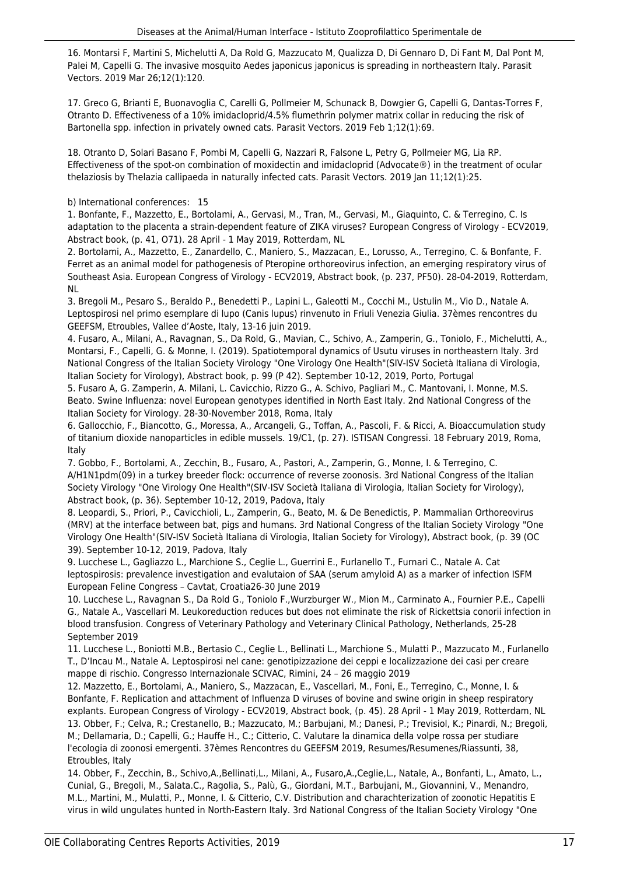16. Montarsi F, Martini S, Michelutti A, Da Rold G, Mazzucato M, Qualizza D, Di Gennaro D, Di Fant M, Dal Pont M, Palei M, Capelli G. The invasive mosquito Aedes japonicus japonicus is spreading in northeastern Italy. Parasit Vectors. 2019 Mar 26;12(1):120.

17. Greco G, Brianti E, Buonavoglia C, Carelli G, Pollmeier M, Schunack B, Dowgier G, Capelli G, Dantas-Torres F, Otranto D. Effectiveness of a 10% imidacloprid/4.5% flumethrin polymer matrix collar in reducing the risk of Bartonella spp. infection in privately owned cats. Parasit Vectors. 2019 Feb 1;12(1):69.

18. Otranto D, Solari Basano F, Pombi M, Capelli G, Nazzari R, Falsone L, Petry G, Pollmeier MG, Lia RP. Effectiveness of the spot-on combination of moxidectin and imidacloprid (Advocate®) in the treatment of ocular thelaziosis by Thelazia callipaeda in naturally infected cats. Parasit Vectors. 2019 Jan 11;12(1):25.

b) International conferences: 15

1. Bonfante, F., Mazzetto, E., Bortolami, A., Gervasi, M., Tran, M., Gervasi, M., Giaquinto, C. & Terregino, C. Is adaptation to the placenta a strain-dependent feature of ZIKA viruses? European Congress of Virology - ECV2019, Abstract book, (p. 41, O71). 28 April - 1 May 2019, Rotterdam, NL

2. Bortolami, A., Mazzetto, E., Zanardello, C., Maniero, S., Mazzacan, E., Lorusso, A., Terregino, C. & Bonfante, F. Ferret as an animal model for pathogenesis of Pteropine orthoreovirus infection, an emerging respiratory virus of Southeast Asia. European Congress of Virology - ECV2019, Abstract book, (p. 237, PF50). 28-04-2019, Rotterdam, NL

3. Bregoli M., Pesaro S., Beraldo P., Benedetti P., Lapini L., Galeotti M., Cocchi M., Ustulin M., Vio D., Natale A. Leptospirosi nel primo esemplare di lupo (Canis lupus) rinvenuto in Friuli Venezia Giulia. 37èmes rencontres du GEEFSM, Etroubles, Vallee d'Aoste, Italy, 13-16 juin 2019.

4. Fusaro, A., Milani, A., Ravagnan, S., Da Rold, G., Mavian, C., Schivo, A., Zamperin, G., Toniolo, F., Michelutti, A., Montarsi, F., Capelli, G. & Monne, I. (2019). Spatiotemporal dynamics of Usutu viruses in northeastern Italy. 3rd National Congress of the Italian Society Virology "One Virology One Health"(SIV-ISV Società Italiana di Virologia, Italian Society for Virology), Abstract book, p. 99 (P 42). September 10-12, 2019, Porto, Portugal

5. Fusaro A, G. Zamperin, A. Milani, L. Cavicchio, Rizzo G., A. Schivo, Pagliari M., C. Mantovani, I. Monne, M.S. Beato. Swine Influenza: novel European genotypes identified in North East Italy. 2nd National Congress of the Italian Society for Virology. 28-30-November 2018, Roma, Italy

6. Gallocchio, F., Biancotto, G., Moressa, A., Arcangeli, G., Toffan, A., Pascoli, F. & Ricci, A. Bioaccumulation study of titanium dioxide nanoparticles in edible mussels. 19/C1, (p. 27). ISTISAN Congressi. 18 February 2019, Roma, Italy

7. Gobbo, F., Bortolami, A., Zecchin, B., Fusaro, A., Pastori, A., Zamperin, G., Monne, I. & Terregino, C. A/H1N1pdm(09) in a turkey breeder flock: occurrence of reverse zoonosis. 3rd National Congress of the Italian Society Virology "One Virology One Health"(SIV-ISV Società Italiana di Virologia, Italian Society for Virology), Abstract book, (p. 36). September 10-12, 2019, Padova, Italy

8. Leopardi, S., Priori, P., Cavicchioli, L., Zamperin, G., Beato, M. & De Benedictis, P. Mammalian Orthoreovirus (MRV) at the interface between bat, pigs and humans. 3rd National Congress of the Italian Society Virology "One Virology One Health"(SIV-ISV Società Italiana di Virologia, Italian Society for Virology), Abstract book, (p. 39 (OC 39). September 10-12, 2019, Padova, Italy

9. Lucchese L., Gagliazzo L., Marchione S., Ceglie L., Guerrini E., Furlanello T., Furnari C., Natale A. Cat leptospirosis: prevalence investigation and evalutaion of SAA (serum amyloid A) as a marker of infection ISFM European Feline Congress – Cavtat, Croatia26-30 June 2019

10. Lucchese L., Ravagnan S., Da Rold G., Toniolo F.,Wurzburger W., Mion M., Carminato A., Fournier P.E., Capelli G., Natale A., Vascellari M. Leukoreduction reduces but does not eliminate the risk of Rickettsia conorii infection in blood transfusion. Congress of Veterinary Pathology and Veterinary Clinical Pathology, Netherlands, 25-28 September 2019

11. Lucchese L., Boniotti M.B., Bertasio C., Ceglie L., Bellinati L., Marchione S., Mulatti P., Mazzucato M., Furlanello T., D'Incau M., Natale A. Leptospirosi nel cane: genotipizzazione dei ceppi e localizzazione dei casi per creare mappe di rischio. Congresso Internazionale SCIVAC, Rimini, 24 – 26 maggio 2019

12. Mazzetto, E., Bortolami, A., Maniero, S., Mazzacan, E., Vascellari, M., Foni, E., Terregino, C., Monne, I. & Bonfante, F. Replication and attachment of Influenza D viruses of bovine and swine origin in sheep respiratory explants. European Congress of Virology - ECV2019, Abstract book, (p. 45). 28 April - 1 May 2019, Rotterdam, NL 13. Obber, F.; Celva, R.; Crestanello, B.; Mazzucato, M.; Barbujani, M.; Danesi, P.; Trevisiol, K.; Pinardi, N.; Bregoli, M.; Dellamaria, D.; Capelli, G.; Hauffe H., C.; Citterio, C. Valutare la dinamica della volpe rossa per studiare l'ecologia di zoonosi emergenti. 37èmes Rencontres du GEEFSM 2019, Resumes/Resumenes/Riassunti, 38, Etroubles, Italy

14. Obber, F., Zecchin, B., Schivo,A.,Bellinati,L., Milani, A., Fusaro,A.,Ceglie,L., Natale, A., Bonfanti, L., Amato, L., Cunial, G., Bregoli, M., Salata.C., Ragolia, S., Palù, G., Giordani, M.T., Barbujani, M., Giovannini, V., Menandro, M.L., Martini, M., Mulatti, P., Monne, I. & Citterio, C.V. Distribution and charachterization of zoonotic Hepatitis E virus in wild ungulates hunted in North-Eastern Italy. 3rd National Congress of the Italian Society Virology "One